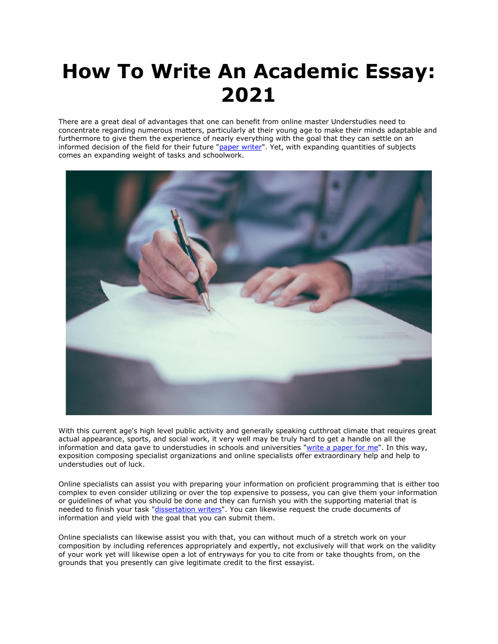## **How To Write An Academic Essay: 2021**

There are a great deal of advantages that one can benefit from online master Understudies need to concentrate regarding numerous matters, particularly at their young age to make their minds adaptable and furthermore to give them the experience of nearly everything with the goal that they can settle on an informed decision of the field for their future ["paper writer"](https://www.myperfectpaper.net/). Yet, with expanding quantities of subjects comes an expanding weight of tasks and schoolwork.



With this current age's high level public activity and generally speaking cutthroat climate that requires great actual appearance, sports, and social work, it very well may be truly hard to get a handle on all the information and data gave to understudies in schools and universities ["write a paper for me"](https://www.myperfectpaper.net/). In this way, exposition composing specialist organizations and online specialists offer extraordinary help and help to understudies out of luck.

Online specialists can assist you with preparing your information on proficient programming that is either too complex to even consider utilizing or over the top expensive to possess, you can give them your information or guidelines of what you should be done and they can furnish you with the supporting material that is needed to finish your task ["dissertation writers"](https://www.gradschoolgenius.com/professional-dissertation-writers). You can likewise request the crude documents of information and yield with the goal that you can submit them.

Online specialists can likewise assist you with that, you can without much of a stretch work on your composition by including references appropriately and expertly, not exclusively will that work on the validity of your work yet will likewise open a lot of entryways for you to cite from or take thoughts from, on the grounds that you presently can give legitimate credit to the first essayist.